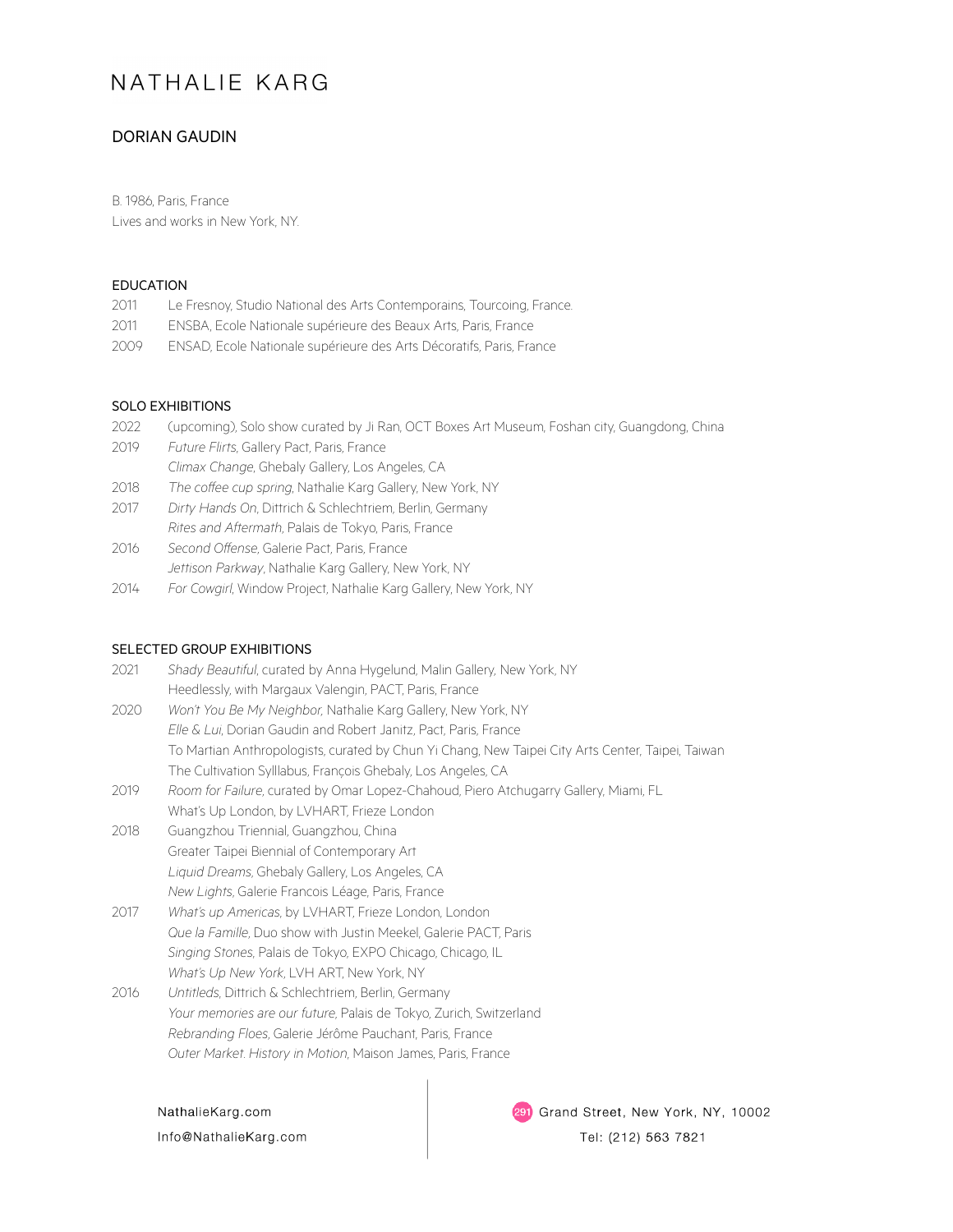# NATHALIF KARG

## DORIAN GAUDIN

B. 1986, Paris, France Lives and works in New York, NY.

### EDUCATION

- 2011 Le Fresnoy, Studio National des Arts Contemporains, Tourcoing, France.
- 2011 ENSBA, Ecole Nationale supérieure des Beaux Arts, Paris, France
- 2009 ENSAD, Ecole Nationale supérieure des Arts Décoratifs, Paris, France

#### SOLO EXHIBITIONS

- 2022 (upcoming), Solo show curated by Ji Ran, OCT Boxes Art Museum, Foshan city, Guangdong, China 2019 *Future Flirts*, Gallery Pact, Paris, France *Climax Change*, Ghebaly Gallery, Los Angeles, CA
- 2018 The coffee cup spring, Nathalie Karg Gallery, New York, NY
- 2017 *Dirty Hands On*, Dittrich & Schlechtriem, Berlin, Germany *Rites and Aftermath*, Palais de Tokyo, Paris, France
- 2016 *Second Offense*, Galerie Pact, Paris, France *Jettison Parkway*, Nathalie Karg Gallery, New York, NY
- 2014 *For Cowgirl*, Window Project, Nathalie Karg Gallery, New York, NY

#### SELECTED GROUP EXHIBITIONS

| 2021 | Shady Beautiful, curated by Anna Hygelund, Malin Gallery, New York, NY                            |
|------|---------------------------------------------------------------------------------------------------|
|      | Heedlessly, with Margaux Valengin, PACT, Paris, France                                            |
| 2020 | Won't You Be My Neighbor, Nathalie Karg Gallery, New York, NY                                     |
|      | Elle & Lui, Dorian Gaudin and Robert Janitz, Pact, Paris, France                                  |
|      | To Martian Anthropologists, curated by Chun Yi Chang, New Taipei City Arts Center, Taipei, Taiwan |
|      | The Cultivation Sylllabus, Francois Ghebaly, Los Angeles, CA                                      |
| 2019 | Room for Failure, curated by Omar Lopez-Chahoud, Piero Atchugarry Gallery, Miami, FL              |
|      |                                                                                                   |

- What's Up London, by LVHART, Frieze London
- 2018 Guangzhou Triennial, Guangzhou, China Greater Taipei Biennial of Contemporary Art *Liquid Dreams*, Ghebaly Gallery, Los Angeles, CA *New Lights*, Galerie Francois Léage, Paris, France
- 2017 *What's up Americas*, by LVHART, Frieze London, London *Que la Famille*, Duo show with Justin Meekel, Galerie PACT, Paris *Singing Stones*, Palais de Tokyo, EXPO Chicago, Chicago, IL *What's Up New York*, LVH ART, New York, NY
- 2016 *Untitleds*, Dittrich & Schlechtriem, Berlin, Germany *Your memories are our future*, Palais de Tokyo, Zurich, Switzerland *Rebranding Floes*, Galerie Jérôme Pauchant, Paris, France *Outer Market*. *History in Motion*, Maison James, Paris, France

NathalieKarg.com Info@NathalieKarg.com 291 Grand Street, New York, NY, 10002

Tel: (212) 563 7821